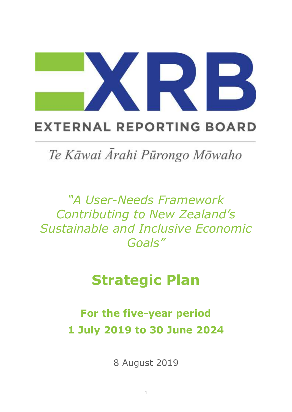

# **EXTERNAL REPORTING BOARD**

Te Kāwai Ārahi Pūrongo Mōwaho

*"A User-Needs Framework Contributing to New Zealand's Sustainable and Inclusive Economic Goals"*

# **Strategic Plan**

**For the five-year period 1 July 2019 to 30 June 2024**

8 August 2019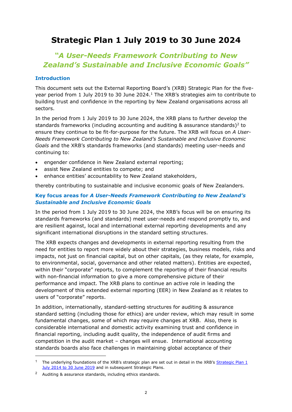# **Strategic Plan 1 July 2019 to 30 June 2024**

# *"A User-Needs Framework Contributing to New Zealand's Sustainable and Inclusive Economic Goals"*

## **Introduction**

This document sets out the External Reporting Board's (XRB) Strategic Plan for the fiveyear period from 1 July 2019 to 30 June 2024. <sup>1</sup> The XRB's strategies aim to contribute to building trust and confidence in the reporting by New Zealand organisations across all sectors.

In the period from 1 July 2019 to 30 June 2024, the XRB plans to further develop the standards frameworks (including accounting and auditing  $\&$  assurance standards)<sup>2</sup> to ensure they continue to be fit-for-purpose for the future. The XRB will focus on *A User-Needs Framework Contributing to New Zealand's Sustainable and Inclusive Economic Goals* and the XRB's standards frameworks (and standards) meeting user-needs and continuing to:

- engender confidence in New Zealand external reporting;
- assist New Zealand entities to compete; and
- enhance entities' accountability to New Zealand stakeholders,

thereby contributing to sustainable and inclusive economic goals of New Zealanders.

## **Key focus areas for** *A User-Needs Framework Contributing to New Zealand's Sustainable and Inclusive Economic Goals*

In the period from 1 July 2019 to 30 June 2024, the XRB's focus will be on ensuring its standards frameworks (and standards) meet user-needs and respond promptly to, and are resilient against, local and international external reporting developments and any significant international disruptions in the standard setting structures.

The XRB expects changes and developments in external reporting resulting from the need for entities to report more widely about their strategies, business models, risks and impacts, not just on financial capital, but on other capitals, (as they relate, for example, to environmental, social, governance and other related matters). Entities are expected, within their "corporate" reports, to complement the reporting of their financial results with non-financial information to give a more comprehensive picture of their performance and impact. The XRB plans to continue an active role in leading the development of this extended external reporting (EER) in New Zealand as it relates to users of "corporate" reports.

In addition, internationally, standard-setting structures for auditing & assurance standard setting (including those for ethics) are under review, which may result in some fundamental changes, some of which may require changes at XRB. Also, there is considerable international and domestic activity examining trust and confidence in financial reporting, including audit quality, the independence of audit firms and competition in the audit market – changes will ensue. International accounting standards boards also face challenges in maintaining global acceptance of their

1

<sup>&</sup>lt;sup>1</sup> The underlying foundations of the XRB's strategic plan are set out in detail in the XRB's Strategic Plan 1 [July 2014 to 30 June 2019](https://www.xrb.govt.nz/dmsdocument/1942) and in subsequent Strategic Plans.

<sup>2</sup> Auditing & assurance standards, including ethics standards.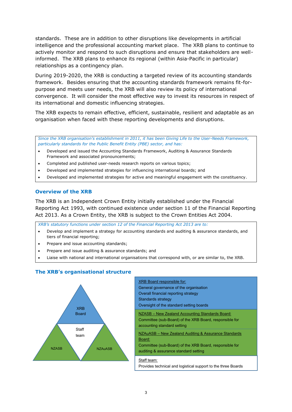standards. These are in addition to other disruptions like developments in artificial intelligence and the professional accounting market place. The XRB plans to continue to actively monitor and respond to such disruptions and ensure that stakeholders are wellinformed. The XRB plans to enhance its regional (within Asia-Pacific in particular) relationships as a contingency plan.

During 2019-2020, the XRB is conducting a targeted review of its accounting standards framework. Besides ensuring that the accounting standards framework remains fit-forpurpose and meets user needs, the XRB will also review its policy of international convergence. It will consider the most effective way to invest its resources in respect of its international and domestic influencing strategies.

The XRB expects to remain effective, efficient, sustainable, resilient and adaptable as an organisation when faced with these reporting developments and disruptions.

*Since the XRB organisation's establishment in 2011, it has been Giving Life to the User-Needs Framework, particularly standards for the Public Benefit Entity (PBE) sector, and has:*

- Developed and issued the Accounting Standards Framework, Auditing & Assurance Standards Framework and associated pronouncements;
- Completed and published user-needs research reports on various topics;
- Developed and implemented strategies for influencing international boards; and
- Developed and implemented strategies for active and meaningful engagement with the constituency.

### **Overview of the XRB**

The XRB is an Independent Crown Entity initially established under the Financial Reporting Act 1993, with continued existence under section 11 of the Financial Reporting Act 2013. As a Crown Entity, the XRB is subject to the Crown Entities Act 2004.

*XRB's statutory functions under section 12 of the Financial Reporting Act 2013 are to:*

- Develop and implement a strategy for accounting standards and auditing & assurance standards, and tiers of financial reporting;
- Prepare and issue accounting standards;
- Prepare and issue auditing & assurance standards; and
- Liaise with national and international organisations that correspond with, or are similar to, the XRB.

# **The XRB's organisational structure**



| <b>XRB Board responsible for:</b><br>General governance of the organisation<br>Overall financial reporting strategy<br>Standards strategy<br>Oversight of the standard setting boards |
|---------------------------------------------------------------------------------------------------------------------------------------------------------------------------------------|
| NZASB – New Zealand Accounting Standards Board:<br>Committee (sub-Board) of the XRB Board, responsible for<br>accounting standard setting                                             |
| NZAuASB - New Zealand Auditing & Assurance Standards<br>Board:<br>Committee (sub-Board) of the XRB Board, responsible for<br>auditing & assurance standard setting                    |
| Staff team:<br>Provides technical and logistical support to the three Boards                                                                                                          |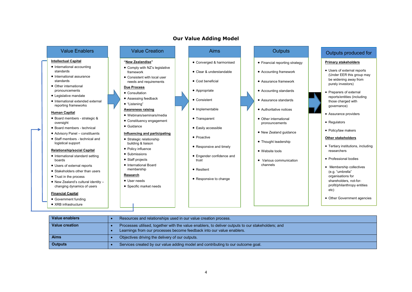### **Our Value Adding Model**

• Cost beneficial

• Appropriate • Consistent • Implementable

• Transparent

• Proactive

• Easily accessible

• Converged & harmonised • Clear & understandable

|  |  | <b>Value Enablers</b> |  |
|--|--|-----------------------|--|
|  |  |                       |  |

#### **Intellectual Capital**

- International accounting standards
- International assurance standards
- Other international pronouncements
- Legislative mandate
- International extended external reporting frameworks

#### **Human Capital**

- Board members strategic & oversight
- Board members technical
- Advisory Panel constituents
- Staff members technical and logistical support

#### **Relationship/social Capital**

- International standard setting boards
- Users of external reports
- Stakeholders other than users
- Trust in the process
- New Zealand's cultural identity changing dynamics of users

#### **Financial Capital**

- Government funding
- XRB infrastructure

# **"New Zealandise"**

• Comply with NZ's legislative framework • Consistent with local user needs and requirements

#### **Due Process** • Consultation

• Assessing feedback • "Listening"

- **Awareness raising**
- Webinars/seminars/media
- Constituency engagement
- Guidance
- **Influencing and participating** • Strategic relationship
- building & liaison • Policy influence
- Submissions
- Staff projects • International Board
- membership
- **Research** • User needs
	- Specific market needs
- -
- Engender confidence and trust
	- Resilient
	- Responsive to change

• Responsive and timely

- 
- Financial reporting strategy
- 
- Assurance framework
- Accounting standards
- Assurance standards
- Authoritative notices
	- Other international pronouncements
	- New Zealand guidance
	- Thought leadership
	- Website tools
	- Various communication channels

# Value Creation **Aims** Aims Aims Outputs Aims Outputs **Contained Active Aims** Outputs produced for

#### **Primary stakeholders**

- Users of external reports (Under EER this group may be widening away from purely investors)
- Preparers of external reports/entities (including those charged with governance)
- Assurance providers
- Regulators
- Policy/law makers

#### **Other stakeholders**

- Tertiary institutions, including researchers
- Professional bodies
- Membership collectives (e.g. "umbrella" organisations for shareholders, not-forprofit/philanthropy entities etc)
- Other Government agencies
- **Value enablers •** Resources and relationships used in our value creation process. **Value creation •** Processes utilised, together with the value enablers, to deliver outputs to our stakeholders; and • Learnings from our processes become feedback into our value enablers. **Aims •** Objectives driving the delivery of our outputs. **Outputs •** Services created by our value adding model and contributing to our outcome goal.
- Accounting framework
	-
	-
	-
-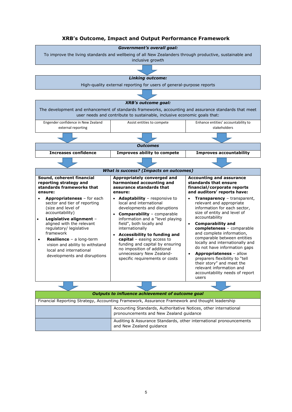## **XRB's Outcome, Impact and Output Performance Framework**

*Government's overall goal:*



| Outputs to influence achievement of outcome goal                                                            |
|-------------------------------------------------------------------------------------------------------------|
| Financial Reporting Strategy, Accounting Framework, Assurance Framework and thought leadership              |
| Accounting Standards, Authoritative Notices, other international<br>pronouncements and New Zealand guidance |
| Auditing & Assurance Standards, other international pronouncements<br>and New Zealand guidance              |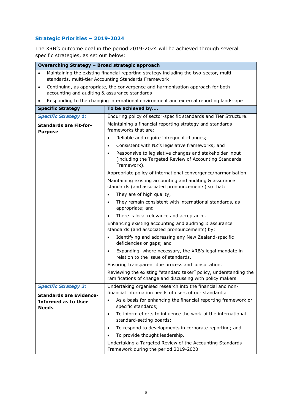# **Strategic Priorities – 2019-2024**

The XRB's outcome goal in the period 2019-2024 will be achieved through several specific strategies, as set out below:

| Overarching Strategy - Broad strategic approach            |                                                                                                                                                |
|------------------------------------------------------------|------------------------------------------------------------------------------------------------------------------------------------------------|
| $\bullet$                                                  | Maintaining the existing financial reporting strategy including the two-sector, multi-<br>standards, multi-tier Accounting Standards Framework |
| $\bullet$<br>accounting and auditing & assurance standards | Continuing, as appropriate, the convergence and harmonisation approach for both                                                                |
|                                                            | Responding to the changing international environment and external reporting landscape                                                          |
| <b>Specific Strategy</b>                                   | To be achieved by                                                                                                                              |
| <b>Specific Strategy 1:</b>                                | Enduring policy of sector-specific standards and Tier Structure.                                                                               |
| <b>Standards are Fit-for-</b><br><b>Purpose</b>            | Maintaining a financial reporting strategy and standards<br>frameworks that are:                                                               |
|                                                            | Reliable and require infrequent changes;<br>$\bullet$                                                                                          |
|                                                            | Consistent with NZ's legislative frameworks; and<br>$\bullet$                                                                                  |
|                                                            | Responsive to legislative changes and stakeholder input<br>$\bullet$<br>(including the Targeted Review of Accounting Standards<br>Framework).  |
|                                                            | Appropriate policy of international convergence/harmonisation.                                                                                 |
|                                                            | Maintaining existing accounting and auditing & assurance<br>standards (and associated pronouncements) so that:                                 |
|                                                            | They are of high quality;<br>$\bullet$                                                                                                         |
|                                                            | They remain consistent with international standards, as<br>$\bullet$<br>appropriate; and                                                       |
|                                                            | There is local relevance and acceptance.                                                                                                       |
|                                                            | Enhancing existing accounting and auditing & assurance<br>standards (and associated pronouncements) by:                                        |
|                                                            | Identifying and addressing any New Zealand-specific<br>$\bullet$<br>deficiencies or gaps; and                                                  |
|                                                            | Expanding, where necessary, the XRB's legal mandate in<br>relation to the issue of standards.                                                  |
|                                                            | Ensuring transparent due process and consultation.                                                                                             |
|                                                            | Reviewing the existing "standard taker" policy, understanding the<br>ramifications of change and discussing with policy makers.                |
| <b>Specific Strategy 2:</b>                                | Undertaking organised research into the financial and non-                                                                                     |
| <b>Standards are Evidence-</b>                             | financial information needs of users of our standards:                                                                                         |
| <b>Informed as to User</b><br><b>Needs</b>                 | As a basis for enhancing the financial reporting framework or<br>$\bullet$<br>specific standards;                                              |
|                                                            | To inform efforts to influence the work of the international<br>$\bullet$<br>standard-setting boards;                                          |
|                                                            | To respond to developments in corporate reporting; and<br>$\bullet$                                                                            |
|                                                            | To provide thought leadership.<br>$\bullet$                                                                                                    |
|                                                            | Undertaking a Targeted Review of the Accounting Standards<br>Framework during the period 2019-2020.                                            |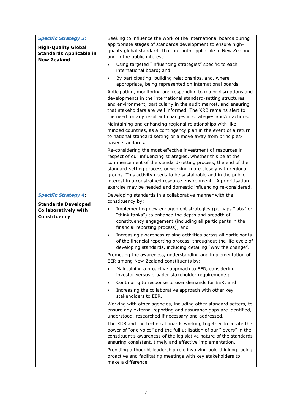| <b>Specific Strategy 3:</b><br><b>High-Quality Global</b><br><b>Standards Applicable in</b><br><b>New Zealand</b> | Seeking to influence the work of the international boards during<br>appropriate stages of standards development to ensure high-<br>quality global standards that are both applicable in New Zealand<br>and in the public interest:<br>Using targeted "influencing strategies" specific to each<br>international board; and<br>By participating, building relationships, and, where<br>appropriate, being represented on international boards.<br>Anticipating, monitoring and responding to major disruptions and<br>developments in the international standard-setting structures<br>and environment, particularly in the audit market, and ensuring<br>that stakeholders are well informed. The XRB remains alert to<br>the need for any resultant changes in strategies and/or actions.<br>Maintaining and enhancing regional relationships with like-<br>minded countries, as a contingency plan in the event of a return                                                                                                                                                                                                                                                                                                                                                                                                                                                                                                                                                                                                                         |
|-------------------------------------------------------------------------------------------------------------------|-------------------------------------------------------------------------------------------------------------------------------------------------------------------------------------------------------------------------------------------------------------------------------------------------------------------------------------------------------------------------------------------------------------------------------------------------------------------------------------------------------------------------------------------------------------------------------------------------------------------------------------------------------------------------------------------------------------------------------------------------------------------------------------------------------------------------------------------------------------------------------------------------------------------------------------------------------------------------------------------------------------------------------------------------------------------------------------------------------------------------------------------------------------------------------------------------------------------------------------------------------------------------------------------------------------------------------------------------------------------------------------------------------------------------------------------------------------------------------------------------------------------------------------------------------|
|                                                                                                                   | to national standard setting or a move away from principles-<br>based standards.<br>Re-considering the most effective investment of resources in<br>respect of our influencing strategies, whether this be at the<br>commencement of the standard-setting process, the end of the<br>standard-setting process or working more closely with regional<br>groups. This activity needs to be sustainable and in the public<br>interest in a constrained resource environment. A prioritisation<br>exercise may be needed and domestic influencing re-considered.                                                                                                                                                                                                                                                                                                                                                                                                                                                                                                                                                                                                                                                                                                                                                                                                                                                                                                                                                                                          |
| <b>Specific Strategy 4:</b><br><b>Standards Developed</b><br><b>Collaboratively with</b><br><b>Constituency</b>   | Developing standards in a collaborative manner with the<br>constituency by:<br>Implementing new engagement strategies (perhaps "labs" or<br>"think tanks") to enhance the depth and breadth of<br>constituency engagement (including all participants in the<br>financial reporting process); and<br>Increasing awareness raising activities across all participants<br>$\bullet$<br>of the financial reporting process, throughout the life-cycle of<br>developing standards, including detailing "why the change".<br>Promoting the awareness, understanding and implementation of<br>EER among New Zealand constituents by:<br>Maintaining a proactive approach to EER, considering<br>$\bullet$<br>investor versus broader stakeholder requirements;<br>Continuing to response to user demands for EER; and<br>$\bullet$<br>Increasing the collaborative approach with other key<br>stakeholders to EER.<br>Working with other agencies, including other standard setters, to<br>ensure any external reporting and assurance gaps are identified,<br>understood, researched if necessary and addressed.<br>The XRB and the technical boards working together to create the<br>power of "one voice" and the full utilisation of our "levers" in the<br>constituent's awareness of the legislative nature of the standards<br>ensuring consistent, timely and effective implementation.<br>Providing a thought leadership role involving bold thinking, being<br>proactive and facilitating meetings with key stakeholders to<br>make a difference. |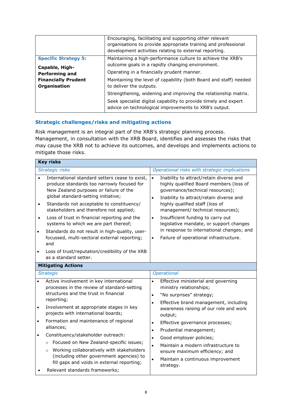|                             | Encouraging, facilitating and supporting other relevant<br>organisations to provide appropriate training and professional<br>development activities relating to external reporting.        |
|-----------------------------|--------------------------------------------------------------------------------------------------------------------------------------------------------------------------------------------|
| <b>Specific Strategy 5:</b> | Maintaining a high-performance culture to achieve the XRB's                                                                                                                                |
| Capable, High-              | outcome goals in a rapidly changing environment.                                                                                                                                           |
| <b>Performing and</b>       | Operating in a financially prudent manner.                                                                                                                                                 |
| <b>Financially Prudent</b>  | Maintaining the level of capability (both Board and staff) needed                                                                                                                          |
| Organisation                | to deliver the outputs.                                                                                                                                                                    |
|                             | Strengthening, widening and improving the relationship matrix.<br>Seek specialist digital capability to provide timely and expert<br>advice on technological improvements to XRB's output. |

# **Strategic challenges/risks and mitigating actions**

Risk management is an integral part of the XRB's strategic planning process. Management, in consultation with the XRB Board, identifies and assesses the risks that may cause the XRB not to achieve its outcomes, and develops and implements actions to mitigate those risks.

|           | <b>Key risks</b>                                                                                                                                                                                                                           |                                                                                                                                                                                             |
|-----------|--------------------------------------------------------------------------------------------------------------------------------------------------------------------------------------------------------------------------------------------|---------------------------------------------------------------------------------------------------------------------------------------------------------------------------------------------|
|           | Strategic risks                                                                                                                                                                                                                            | Operational risks with strategic implications                                                                                                                                               |
|           | International standard setters cease to exist,<br>produce standards too narrowly focused for<br>New Zealand purposes or failure of the<br>global standard-setting initiative;                                                              | Inability to attract/retain diverse and<br>$\bullet$<br>highly qualified Board members (loss of<br>governance/technical resources);<br>Inability to attract/retain diverse and<br>$\bullet$ |
| $\bullet$ | Standards not acceptable to constituency/<br>stakeholders and therefore not applied;                                                                                                                                                       | highly qualified staff (loss of<br>management/ technical resources);                                                                                                                        |
| $\bullet$ | Loss of trust in financial reporting and the<br>systems to which we are part thereof;                                                                                                                                                      | Insufficient funding to carry out<br>$\bullet$<br>legislative mandate, or support changes                                                                                                   |
| $\bullet$ | Standards do not result in high-quality, user-<br>focussed, multi-sectoral external reporting;<br>and                                                                                                                                      | in response to international changes; and<br>Failure of operational infrastructure.<br>$\bullet$                                                                                            |
|           | Loss of trust/reputation/credibility of the XRB<br>as a standard setter.                                                                                                                                                                   |                                                                                                                                                                                             |
|           | <b>Mitigating Actions</b>                                                                                                                                                                                                                  |                                                                                                                                                                                             |
|           | <b>Strategic</b>                                                                                                                                                                                                                           | Operational                                                                                                                                                                                 |
| $\bullet$ | Active involvement in key international<br>processes in the review of standard-setting<br>structures and the trust in financial                                                                                                            | Effective ministerial and governing<br>$\bullet$<br>ministry relationships;<br>"No surprises" strategy;<br>$\bullet$                                                                        |
| $\bullet$ | reporting;<br>Involvement at appropriate stages in key<br>projects with international boards;                                                                                                                                              | Effective brand management, including<br>$\bullet$<br>awareness raising of our role and work<br>output;                                                                                     |
| $\bullet$ | Formation and maintenance of regional<br>alliances;                                                                                                                                                                                        | Effective governance processes;<br>$\bullet$<br>Prudential management;<br>$\bullet$                                                                                                         |
| $\bullet$ | Constituency/stakeholder outreach:<br>Focused on New Zealand-specific issues;<br>$\circ$<br>Working collaboratively with stakeholders<br>$\circ$<br>(including other government agencies) to<br>fill gaps and voids in external reporting; | Good employer policies;<br>$\bullet$<br>Maintain a modern infrastructure to<br>$\bullet$<br>ensure maximum efficiency; and<br>Maintain a continuous improvement<br>$\bullet$<br>strategy.   |
|           | Relevant standards frameworks;                                                                                                                                                                                                             |                                                                                                                                                                                             |